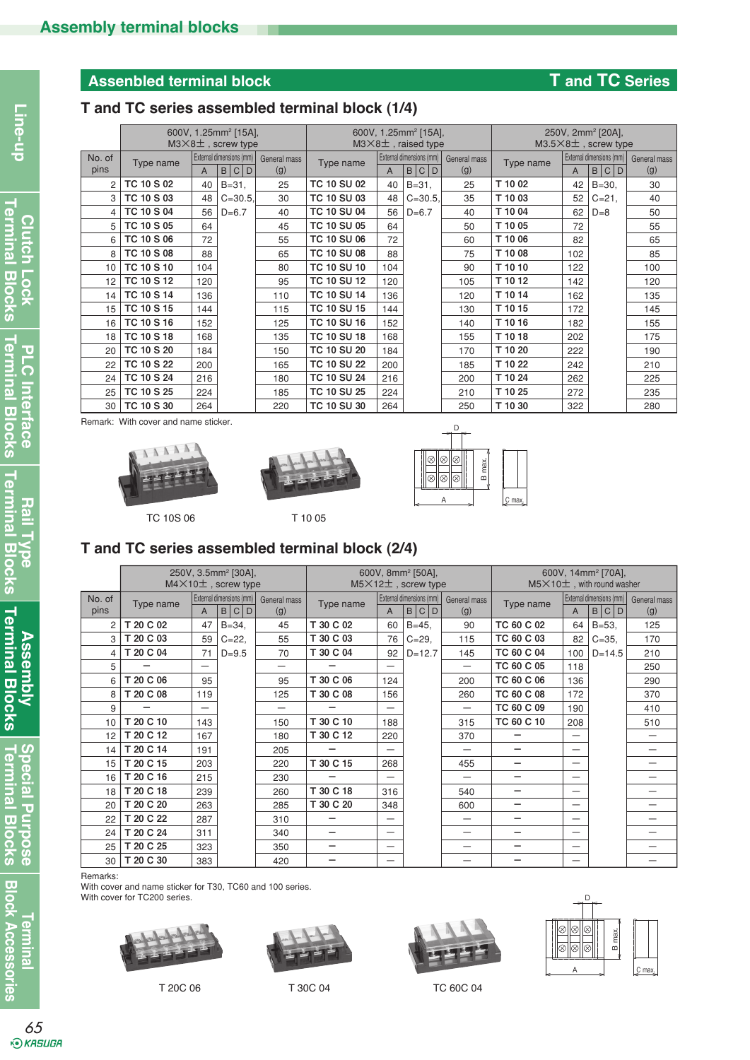# **Assenbled terminal block T and TC Series**

## **T and TC series assembled terminal block (1/4)**

|                |                   |     | 600V, 1.25mm <sup>2</sup> [15A],<br>$M3\times8$ ±, screw type |                     |                    |                | 600V, 1.25mm <sup>2</sup> [15A],<br>$M3\times8$ <sup><math>\pm</math></sup> , raised type |                     | 250V, 2mm <sup>2</sup> [20A],<br>M3.5×8±, screw type |     |                                      |                     |  |
|----------------|-------------------|-----|---------------------------------------------------------------|---------------------|--------------------|----------------|-------------------------------------------------------------------------------------------|---------------------|------------------------------------------------------|-----|--------------------------------------|---------------------|--|
| No. of<br>pins | Type name         | A   | External dimensions (mm)<br>B C<br>l D                        | General mass<br>(g) | Type name          | $\overline{A}$ | External dimensions (mm)<br>B C D                                                         | General mass<br>(g) | Type name                                            | A   | External dimensions (mm)<br>B<br>C D | General mass<br>(g) |  |
| $\overline{2}$ | <b>TC 10 S 02</b> | 40  | $B = 31$ ,                                                    | 25                  | <b>TC 10 SU 02</b> | 40             | $B = 31$ ,                                                                                | 25                  | T 10 02                                              | 42  | $B = 30$                             | 30                  |  |
| 3              | <b>TC 10 S 03</b> | 48  | $C = 30.5$                                                    | 30                  | <b>TC 10 SU 03</b> | 48             | $C = 30.5$                                                                                | 35                  | T 10 03                                              | 52  | $C = 21$ ,                           | 40                  |  |
| $\overline{4}$ | <b>TC 10 S 04</b> | 56  | $D=6.7$                                                       | 40                  | <b>TC 10 SU 04</b> | 56             | $D=6.7$                                                                                   | 40                  | T 10 04                                              | 62  | $D=8$                                | 50                  |  |
| 5              | <b>TC 10 S 05</b> | 64  |                                                               | 45                  | <b>TC 10 SU 05</b> | 64             |                                                                                           | 50                  | T 10 05                                              | 72  |                                      | 55                  |  |
| 6              | <b>TC 10 S 06</b> | 72  |                                                               | 55                  | <b>TC 10 SU 06</b> | 72             |                                                                                           | 60                  | T 10 06                                              | 82  |                                      | 65                  |  |
| 8              | <b>TC 10 S 08</b> | 88  |                                                               | 65                  | <b>TC 10 SU 08</b> | 88             |                                                                                           | 75                  | T 10 08                                              | 102 |                                      | 85                  |  |
| 10             | <b>TC 10 S 10</b> | 104 |                                                               | 80                  | <b>TC 10 SU 10</b> | 104            |                                                                                           | 90                  | T 10 10                                              | 122 |                                      | 100                 |  |
| 12             | <b>TC 10 S 12</b> | 120 |                                                               | 95                  | <b>TC 10 SU 12</b> | 120            |                                                                                           | 105                 | T 10 12                                              | 142 |                                      | 120                 |  |
| 14             | <b>TC 10 S 14</b> | 136 |                                                               | 110                 | <b>TC 10 SU 14</b> | 136            |                                                                                           | 120                 | T 10 14                                              | 162 |                                      | 135                 |  |
| 15             | <b>TC 10 S 15</b> | 144 |                                                               | 115                 | <b>TC 10 SU 15</b> | 144            |                                                                                           | 130                 | T 10 15                                              | 172 |                                      | 145                 |  |
| 16             | <b>TC 10 S 16</b> | 152 |                                                               | 125                 | <b>TC 10 SU 16</b> | 152            |                                                                                           | 140                 | T 10 16                                              | 182 |                                      | 155                 |  |
| 18             | <b>TC 10 S 18</b> | 168 |                                                               | 135                 | <b>TC 10 SU 18</b> | 168            |                                                                                           | 155                 | T 10 18                                              | 202 |                                      | 175                 |  |
| 20             | <b>TC 10 S 20</b> | 184 |                                                               | 150                 | <b>TC 10 SU 20</b> | 184            |                                                                                           | 170                 | T 10 20                                              | 222 |                                      | 190                 |  |
| 22             | <b>TC 10 S 22</b> | 200 |                                                               | 165                 | <b>TC 10 SU 22</b> | 200            |                                                                                           | 185                 | T 10 22                                              | 242 |                                      | 210                 |  |
| 24             | <b>TC 10 S 24</b> | 216 |                                                               | 180                 | <b>TC 10 SU 24</b> | 216            |                                                                                           | 200                 | T 10 24                                              | 262 |                                      | 225                 |  |
| 25             | <b>TC 10 S 25</b> | 224 |                                                               | 185                 | <b>TC 10 SU 25</b> | 224            |                                                                                           | 210                 | T 10 25                                              | 272 |                                      | 235                 |  |
| 30             | TC 10 S 30        | 264 |                                                               | 220                 | <b>TC 10 SU 30</b> | 264            |                                                                                           | 250                 | T 10 30                                              | 322 |                                      | 280                 |  |

Remark: With cover and name sticker.







TC 10S 06 T 10 05

## **T and TC series assembled terminal block (2/4)**

|                |           | 250V, 3.5mm <sup>2</sup> [30A],<br>$M4 \times 10 \pm$ , screw type |                                                                       |     | 600V, 8mm <sup>2</sup> [50A],<br>$M5\times12+$ , screw type |                                                        | 600V, 14mm <sup>2</sup> [70A],<br>$M5\times10+$ , with round washer |                          |                          |                          |                                       |                          |
|----------------|-----------|--------------------------------------------------------------------|-----------------------------------------------------------------------|-----|-------------------------------------------------------------|--------------------------------------------------------|---------------------------------------------------------------------|--------------------------|--------------------------|--------------------------|---------------------------------------|--------------------------|
| No. of<br>pins | Type name | $\overline{A}$                                                     | External dimensions (mm)<br>General mass<br>$\mathsf D$<br>(g)<br>B C |     | Type name                                                   | External dimensions (mm)<br>B C<br>D<br>$\overline{A}$ |                                                                     | General mass<br>(g)      | Type name                | A                        | External dimensions (mm)<br>B<br> C D | General mass<br>(g)      |
| $\overline{2}$ | T 20 C 02 | 47                                                                 | $B = 34,$                                                             | 45  | T 30 C 02                                                   | 60                                                     | $B = 45.$                                                           | 90                       | TC 60 C 02               | 64                       | $B = 53$                              | 125                      |
| 3              | T 20 C 03 | 59                                                                 | $C = 22$                                                              | 55  | T 30 C 03                                                   | 76                                                     | $C = 29$                                                            | 115                      | TC 60 C 03               | 82                       | $C = 35.$                             | 170                      |
| 4              | T 20 C 04 | 71                                                                 | $D=9.5$                                                               | 70  | T 30 C 04                                                   | 92                                                     | $D=12.7$                                                            | 145                      | TC 60 C 04               | 100                      | $D = 14.5$                            | 210                      |
| 5              |           |                                                                    |                                                                       |     |                                                             |                                                        |                                                                     | $\overline{\phantom{0}}$ | TC 60 C 05               | 118                      |                                       | 250                      |
| 6              | T 20 C 06 | 95                                                                 |                                                                       | 95  | T 30 C 06                                                   | 124                                                    |                                                                     | 200                      | TC 60 C 06               | 136                      |                                       | 290                      |
| 8              | T 20 C 08 | 119                                                                |                                                                       | 125 | T 30 C 08                                                   | 156                                                    |                                                                     | 260                      | TC 60 C 08               | 172                      |                                       | 370                      |
| 9              |           |                                                                    |                                                                       |     |                                                             |                                                        |                                                                     | $\overline{\phantom{0}}$ | TC 60 C 09               | 190                      |                                       | 410                      |
| 10             | T 20 C 10 | 143                                                                |                                                                       | 150 | T 30 C 10                                                   | 188                                                    |                                                                     | 315                      | TC 60 C 10               | 208                      |                                       | 510                      |
| 12             | T 20 C 12 | 167                                                                |                                                                       | 180 | T 30 C 12                                                   | 220                                                    |                                                                     | 370                      |                          |                          |                                       | $\overline{\phantom{0}}$ |
| 14             | T 20 C 14 | 191                                                                |                                                                       | 205 |                                                             |                                                        |                                                                     |                          |                          | —                        |                                       |                          |
| 15             | T 20 C 15 | 203                                                                |                                                                       | 220 | T 30 C 15                                                   | 268                                                    |                                                                     | 455                      |                          | —                        |                                       |                          |
| 16             | T 20 C 16 | 215                                                                |                                                                       | 230 |                                                             |                                                        |                                                                     |                          |                          | $\overline{\phantom{0}}$ |                                       | —                        |
| 18             | T 20 C 18 | 239                                                                |                                                                       | 260 | T 30 C 18                                                   | 316                                                    |                                                                     | 540                      | -                        |                          |                                       |                          |
| 20             | T 20 C 20 | 263                                                                |                                                                       | 285 | T 30 C 20                                                   | 348                                                    |                                                                     | 600                      | -                        | —                        |                                       |                          |
| 22             | T 20 C 22 | 287                                                                |                                                                       | 310 |                                                             |                                                        |                                                                     |                          |                          |                          |                                       |                          |
| 24             | T 20 C 24 | 311                                                                |                                                                       | 340 |                                                             |                                                        |                                                                     |                          | $\overline{\phantom{0}}$ |                          |                                       | –                        |
| 25             | T 20 C 25 | 323                                                                |                                                                       | 350 |                                                             |                                                        |                                                                     |                          |                          | —                        |                                       |                          |
| 30             | T 20 C 30 | 383                                                                |                                                                       | 420 |                                                             |                                                        |                                                                     |                          |                          |                          |                                       |                          |

Remarks:

With cover and name sticker for T30, TC60 and 100 series. With cover for TC200 series.









T 20C 06 T 30C 04 T 20C 06

**Terminal**

**Assembly<br>Terminal Blocks Terminal Blocks Assembly**

Special Purpose<br>Terminal Blocks **Terminal Blocks Special Purpose**